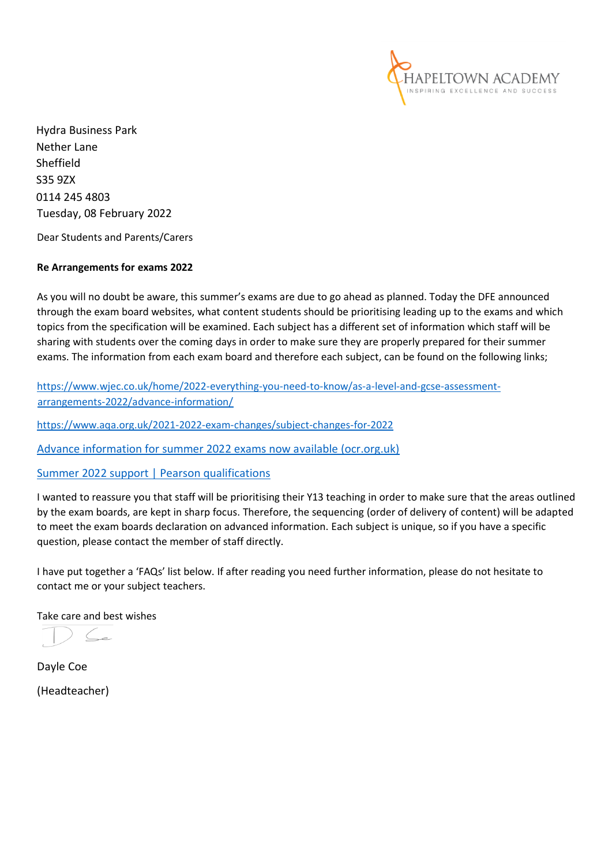

Hydra Business Park Nether Lane Sheffield S35 9ZX 0114 245 4803 Tuesday, 08 February 2022

Dear Students and Parents/Carers

## **Re Arrangements for exams 2022**

As you will no doubt be aware, this summer's exams are due to go ahead as planned. Today the DFE announced through the exam board websites, what content students should be prioritising leading up to the exams and which topics from the specification will be examined. Each subject has a different set of information which staff will be sharing with students over the coming days in order to make sure they are properly prepared for their summer exams. The information from each exam board and therefore each subject, can be found on the following links;

[https://www.wjec.co.uk/home/2022-everything-you-need-to-know/as-a-level-and-gcse-assessment](https://www.wjec.co.uk/home/2022-everything-you-need-to-know/as-a-level-and-gcse-assessment-arrangements-2022/advance-information/)[arrangements-2022/advance-information/](https://www.wjec.co.uk/home/2022-everything-you-need-to-know/as-a-level-and-gcse-assessment-arrangements-2022/advance-information/)

<https://www.aqa.org.uk/2021-2022-exam-changes/subject-changes-for-2022>

[Advance information for summer 2022 exams now available \(ocr.org.uk\)](https://ocr.org.uk/news/advance-information-for-summer-2022-exams-now-available/)

[Summer 2022 support | Pearson qualifications](https://qualifications.pearson.com/en/campaigns/summer-2022-support.html)

I wanted to reassure you that staff will be prioritising their Y13 teaching in order to make sure that the areas outlined by the exam boards, are kept in sharp focus. Therefore, the sequencing (order of delivery of content) will be adapted to meet the exam boards declaration on advanced information. Each subject is unique, so if you have a specific question, please contact the member of staff directly.

I have put together a 'FAQs' list below. If after reading you need further information, please do not hesitate to contact me or your subject teachers.

Take care and best wishes

Dayle Coe (Headteacher)